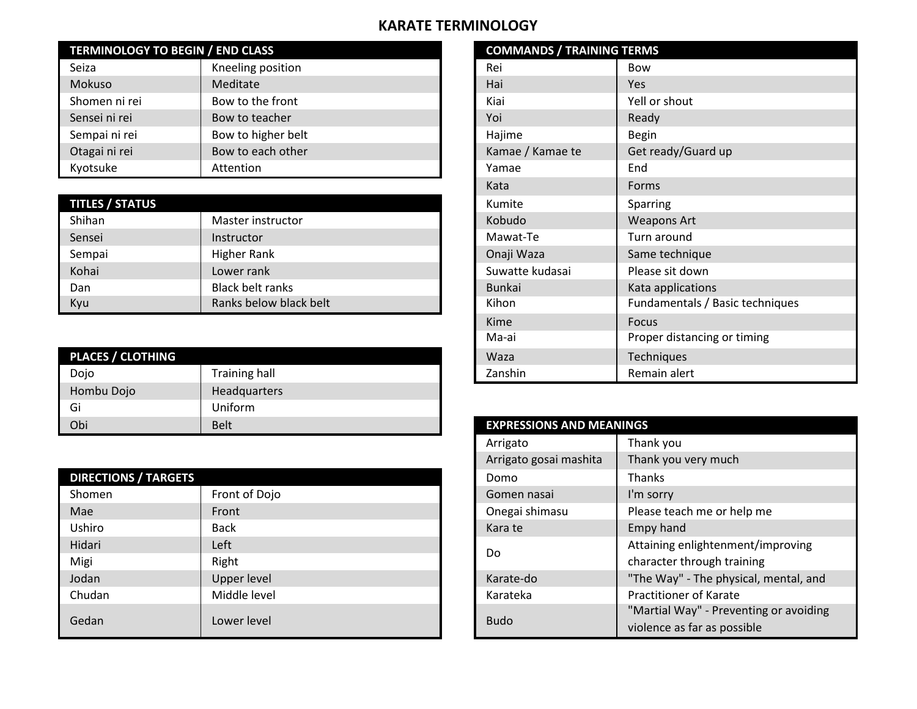## **KARATE TERMINOLOGY**

| <b>TERMINOLOGY TO BEGIN / END CLASS</b> |                    | <b>COMMANDS / TRAINING TERMS</b> |                    |
|-----------------------------------------|--------------------|----------------------------------|--------------------|
| Seiza                                   | Kneeling position  | Rei                              | <b>Bow</b>         |
| Mokuso                                  | Meditate           | Hai                              | Yes                |
| Shomen ni rei                           | Bow to the front   | Kiai                             | Yell or shout      |
| Sensei ni rei                           | Bow to teacher     | Yoi                              | Ready              |
| Sempai ni rei                           | Bow to higher belt | Hajime                           | <b>Begin</b>       |
| Otagai ni rei                           | Bow to each other  | Kamae / Kamae te                 | Get ready/Guard up |
| Kyotsuke                                | Attention          | Yamae                            | End                |

## **TITLES / STATUS**

| Shihan | Master instructor       | Kobudo          | <b>Weapons Art</b>              |
|--------|-------------------------|-----------------|---------------------------------|
| Sensei | Instructor              | Mawat-Te        | Turn around                     |
| Sempai | Higher Rank             | Onaji Waza      | Same technique                  |
| Kohai  | Lower rank              | Suwatte kudasai | Please sit down                 |
| Dan    | <b>Black belt ranks</b> | Bunkai          | Kata applications               |
| Kyu    | Ranks below black belt  | Kihon           | Fundamentals / Basic techniques |

| <b>PLACES / CLOTHING</b> |                     | Waza                            | <b>Techniques</b> |
|--------------------------|---------------------|---------------------------------|-------------------|
| Dojo                     | Training hall       | Zanshin                         | Remain alert      |
| Hombu Dojo               | <b>Headquarters</b> |                                 |                   |
| Gi                       | Uniform             |                                 |                   |
| Obi                      | <b>Belt</b>         | <b>EXPRESSIONS AND MEANINGS</b> |                   |

| <b>DIRECTIONS / TARGETS</b> |               | Domo           | Thanks                                 |
|-----------------------------|---------------|----------------|----------------------------------------|
| Shomen                      | Front of Dojo | Gomen nasai    | I'm sorry                              |
| Mae                         | Front         | Onegai shimasu | Please teach me or help me             |
| Ushiro                      | <b>Back</b>   | Kara te        | Empy hand                              |
| Hidari                      | Left          | Do             | Attaining enlightenment/improving      |
| Migi                        | Right         |                | character through training             |
| Jodan                       | Upper level   | Karate-do      | "The Way" - The physical, mental, and  |
| Chudan                      | Middle level  | Karateka       | Practitioner of Karate                 |
|                             |               |                | "Martial Way" - Preventing or avoiding |
| Gedan                       | Lower level   | <b>Budo</b>    | violence as far as possible            |

| <b>COMMANDS / TRAINING TERMS</b> |                                 |  |  |
|----------------------------------|---------------------------------|--|--|
| Rei                              | <b>Bow</b>                      |  |  |
| Hai                              | <b>Yes</b>                      |  |  |
| Kiai                             | Yell or shout                   |  |  |
| Yoi                              | Ready                           |  |  |
| Hajime                           | <b>Begin</b>                    |  |  |
| Kamae / Kamae te                 | Get ready/Guard up              |  |  |
| Yamae                            | End                             |  |  |
| Kata                             | Forms                           |  |  |
| Kumite                           | <b>Sparring</b>                 |  |  |
| Kobudo                           | <b>Weapons Art</b>              |  |  |
| Mawat-Te                         | Turn around                     |  |  |
| Onaji Waza                       | Same technique                  |  |  |
| Suwatte kudasai                  | Please sit down                 |  |  |
| <b>Bunkai</b>                    | Kata applications               |  |  |
| Kihon                            | Fundamentals / Basic techniques |  |  |
| <b>Kime</b>                      | <b>Focus</b>                    |  |  |
| Ma-ai                            | Proper distancing or timing     |  |  |
| Waza                             | Techniques                      |  |  |
| Zanshin                          | Remain alert                    |  |  |

| <b>EXPRESSIONS AND MEANINGS</b> |                                        |  |  |
|---------------------------------|----------------------------------------|--|--|
| Arrigato                        | Thank you                              |  |  |
| Arrigato gosai mashita          | Thank you very much                    |  |  |
| Domo                            | <b>Thanks</b>                          |  |  |
| Gomen nasai                     | I'm sorry                              |  |  |
| Onegai shimasu                  | Please teach me or help me             |  |  |
| Kara te                         | <b>Empy hand</b>                       |  |  |
| D٥                              | Attaining enlightenment/improving      |  |  |
|                                 | character through training             |  |  |
| Karate-do                       | "The Way" - The physical, mental, and  |  |  |
| Karateka                        | Practitioner of Karate                 |  |  |
| <b>Budo</b>                     | "Martial Way" - Preventing or avoiding |  |  |
|                                 | violence as far as possible            |  |  |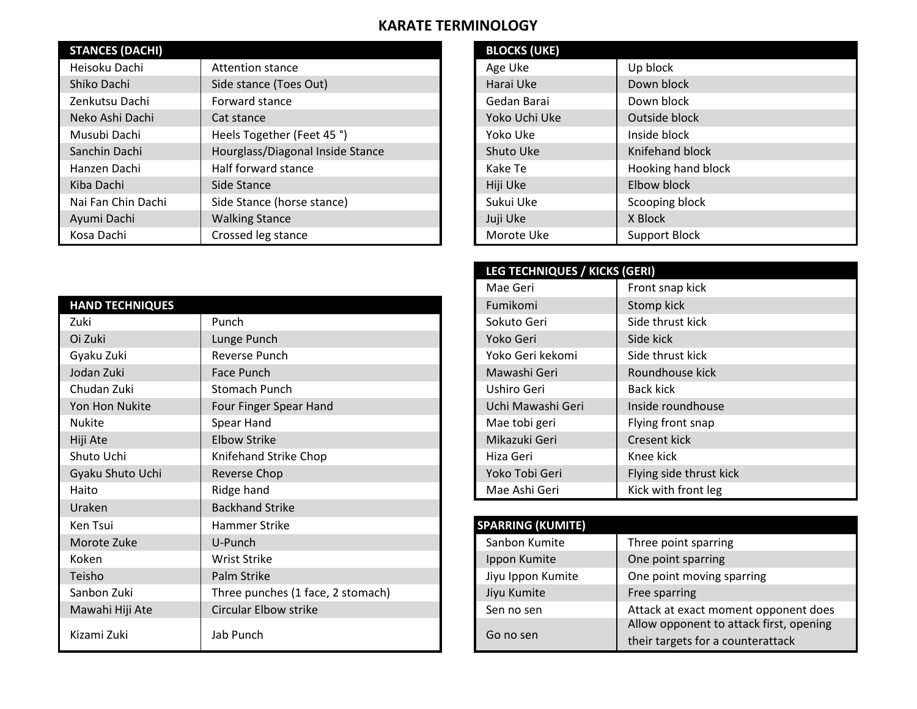## **KARATE TERMINOLOGY**

| <b>STANCES (DACHI)</b> |                                  | <b>BLOCKS (UKE)</b> |               |                      |
|------------------------|----------------------------------|---------------------|---------------|----------------------|
| Heisoku Dachi          | Attention stance                 | Age Uke             |               | Up block             |
| Shiko Dachi            | Side stance (Toes Out)           | Harai Uke           |               | Down block           |
| Zenkutsu Dachi         | Forward stance                   | Gedan Barai         |               | Down block           |
| Neko Ashi Dachi        | Cat stance                       |                     | Yoko Uchi Uke | Outside block        |
| Musubi Dachi           | Heels Together (Feet 45 °)       | Yoko Uke            |               | Inside block         |
| Sanchin Dachi          | Hourglass/Diagonal Inside Stance | Shuto Uke           |               | Knifehand block      |
| Hanzen Dachi           | Half forward stance              | Kake Te             |               | Hooking hand block   |
| Kiba Dachi             | Side Stance                      | Hiji Uke            |               | Elbow block          |
| Nai Fan Chin Dachi     | Side Stance (horse stance)       | Sukui Uke           |               | Scooping block       |
| Ayumi Dachi            | <b>Walking Stance</b>            | Juji Uke            |               | X Block              |
| Kosa Dachi             | Crossed leg stance               | Morote Uke          |               | <b>Support Block</b> |

| <b>HAND TECHNIQUES</b> |                                   | Fumikomi                 | Stomp kick                              |
|------------------------|-----------------------------------|--------------------------|-----------------------------------------|
| Zuki                   | Punch                             | Sokuto Geri              | Side thrust kick                        |
| Oi Zuki                | Lunge Punch                       | Yoko Geri                | Side kick                               |
| Gyaku Zuki             | Reverse Punch                     | Yoko Geri kekomi         | Side thrust kick                        |
| Jodan Zuki             | Face Punch                        | Mawashi Geri             | Roundhouse kick                         |
| Chudan Zuki            | <b>Stomach Punch</b>              | Ushiro Geri              | <b>Back kick</b>                        |
| Yon Hon Nukite         | Four Finger Spear Hand            | Uchi Mawashi Geri        | Inside roundhouse                       |
| <b>Nukite</b>          | Spear Hand                        | Mae tobi geri            | Flying front snap                       |
| Hiji Ate               | <b>Elbow Strike</b>               | Mikazuki Geri            | Cresent kick                            |
| Shuto Uchi             | Knifehand Strike Chop             | Hiza Geri                | Knee kick                               |
| Gyaku Shuto Uchi       | Reverse Chop                      | Yoko Tobi Geri           | Flying side thrust kick                 |
| Haito                  | Ridge hand                        | Mae Ashi Geri            | Kick with front leg                     |
| Uraken                 | <b>Backhand Strike</b>            |                          |                                         |
| Ken Tsui               | Hammer Strike                     | <b>SPARRING (KUMITE)</b> |                                         |
| Morote Zuke            | U-Punch                           | Sanbon Kumite            | Three point sparring                    |
| Koken                  | Wrist Strike                      | Ippon Kumite             | One point sparring                      |
| Teisho                 | Palm Strike                       | Jiyu Ippon Kumite        | One point moving sparring               |
| Sanbon Zuki            | Three punches (1 face, 2 stomach) | Jiyu Kumite              | Free sparring                           |
| Mawahi Hiji Ate        | Circular Elbow strike             | Sen no sen               | Attack at exact moment opponent does    |
|                        |                                   |                          | Allow opponent to attack first, opening |
| Kizami Zuki            | Jab Punch                         | Go no sen                | their targets for a counterattack       |

| <b>BLOCKS (UKE)</b> |                      |
|---------------------|----------------------|
| Age Uke             | Up block             |
| Harai Uke           | Down block           |
| Gedan Barai         | Down block           |
| Yoko Uchi Uke       | Outside block        |
| Yoko Uke            | Inside block         |
| Shuto Uke           | Knifehand block      |
| Kake Te             | Hooking hand block   |
| Hiji Uke            | Elbow block          |
| Sukui Uke           | Scooping block       |
| Juji Uke            | X Block              |
| Morote Uke          | <b>Support Block</b> |

| LEG TECHNIQUES / KICKS (GERI) |                         |  |  |
|-------------------------------|-------------------------|--|--|
| Mae Geri                      | Front snap kick         |  |  |
| Fumikomi                      | Stomp kick              |  |  |
| Sokuto Geri                   | Side thrust kick        |  |  |
| Yoko Geri                     | Side kick               |  |  |
| Yoko Geri kekomi              | Side thrust kick        |  |  |
| Mawashi Geri                  | Roundhouse kick         |  |  |
| Ushiro Geri                   | Back kick               |  |  |
| Uchi Mawashi Geri             | Inside roundhouse       |  |  |
| Mae tobi geri                 | Flying front snap       |  |  |
| Mikazuki Geri                 | Cresent kick            |  |  |
| Hiza Geri                     | Knee kick               |  |  |
| Yoko Tobi Geri                | Flying side thrust kick |  |  |
| Mae Ashi Geri                 | Kick with front leg     |  |  |

| <b>SPARRING (KUMITE)</b> |                                         |
|--------------------------|-----------------------------------------|
| Sanbon Kumite            | Three point sparring                    |
| Ippon Kumite             | One point sparring                      |
| Jiyu Ippon Kumite        | One point moving sparring               |
| Jiyu Kumite              | Free sparring                           |
| Sen no sen               | Attack at exact moment opponent does    |
|                          | Allow opponent to attack first, opening |
| Go no sen                | their targets for a counterattack       |